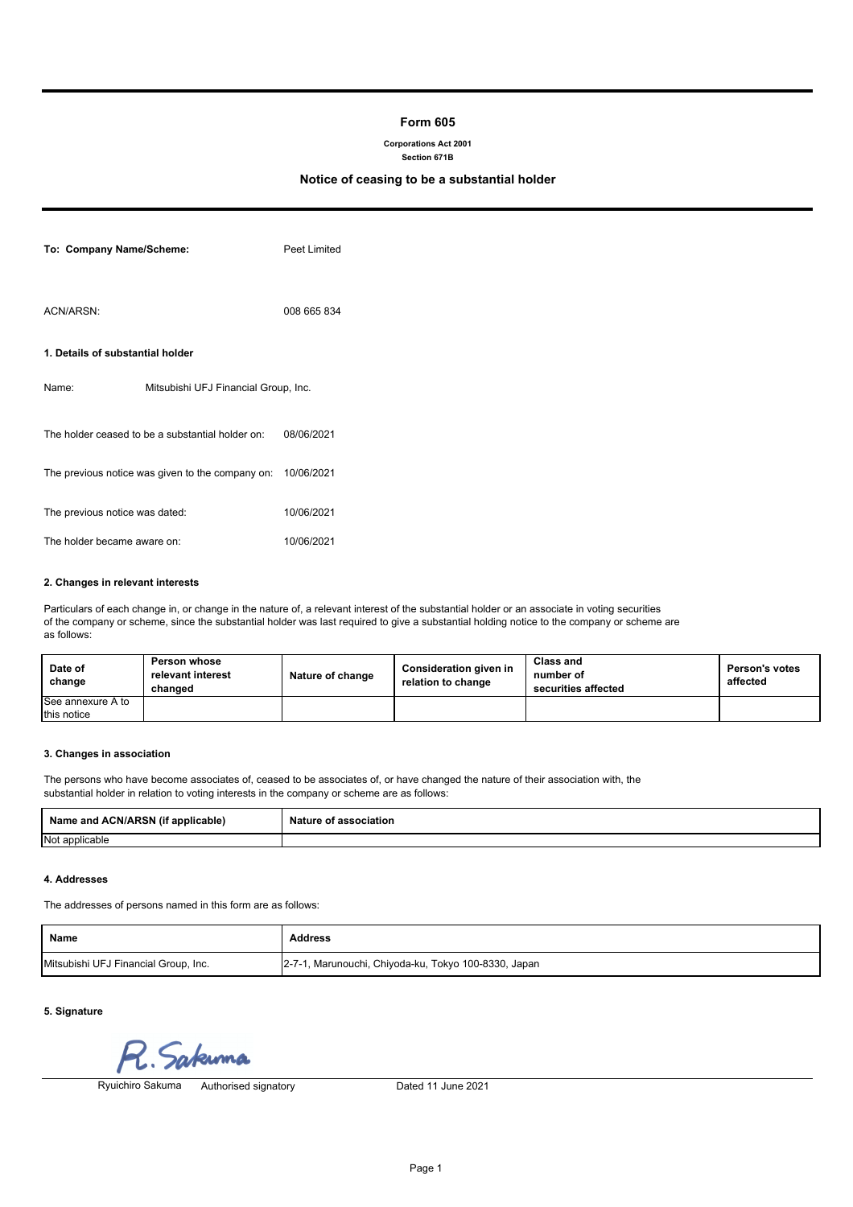# **Form 605**

## **Corporations Act 2001**

### **Section 671B**

# **Notice of ceasing to be a substantial holder**

| To: Company Name/Scheme:         |                                                  | Peet Limited |
|----------------------------------|--------------------------------------------------|--------------|
| ACN/ARSN:                        |                                                  | 008 665 834  |
| 1. Details of substantial holder |                                                  |              |
| Name:                            | Mitsubishi UFJ Financial Group, Inc.             |              |
|                                  | The holder ceased to be a substantial holder on: | 08/06/2021   |
|                                  | The previous notice was given to the company on: | 10/06/2021   |
| The previous notice was dated:   |                                                  | 10/06/2021   |
| The holder became aware on:      |                                                  | 10/06/2021   |

#### **2. Changes in relevant interests**

Particulars of each change in, or change in the nature of, a relevant interest of the substantial holder or an associate in voting securities of the company or scheme, since the substantial holder was last required to give a substantial holding notice to the company or scheme are as follows:

| Date of<br>change | Person whose<br>relevant interest<br>chanɑed | Nature of change | Consideration given in<br>relation to change | <b>Class and</b><br>number of<br>securities affected | Person's votes<br>affected |
|-------------------|----------------------------------------------|------------------|----------------------------------------------|------------------------------------------------------|----------------------------|
| See annexure A to |                                              |                  |                                              |                                                      |                            |
| this notice       |                                              |                  |                                              |                                                      |                            |

## **3. Changes in association**

The persons who have become associates of, ceased to be associates of, or have changed the nature of their association with, the substantial holder in relation to voting interests in the company or scheme are as follows:

| Name and ACN/ARSN (if a<br>f applicable) | Nature<br>association:<br>റീ |
|------------------------------------------|------------------------------|
| Not applicable                           |                              |

#### **4. Addresses**

The addresses of persons named in this form are as follows:

| Name                                 | <b>Address</b>                                       |
|--------------------------------------|------------------------------------------------------|
| Mitsubishi UFJ Financial Group, Inc. | 2-7-1, Marunouchi, Chiyoda-ku, Tokyo 100-8330, Japan |

**5. Signature**

sakuma

Ryuichiro Sakuma Authorised signatory

Dated 11 June 2021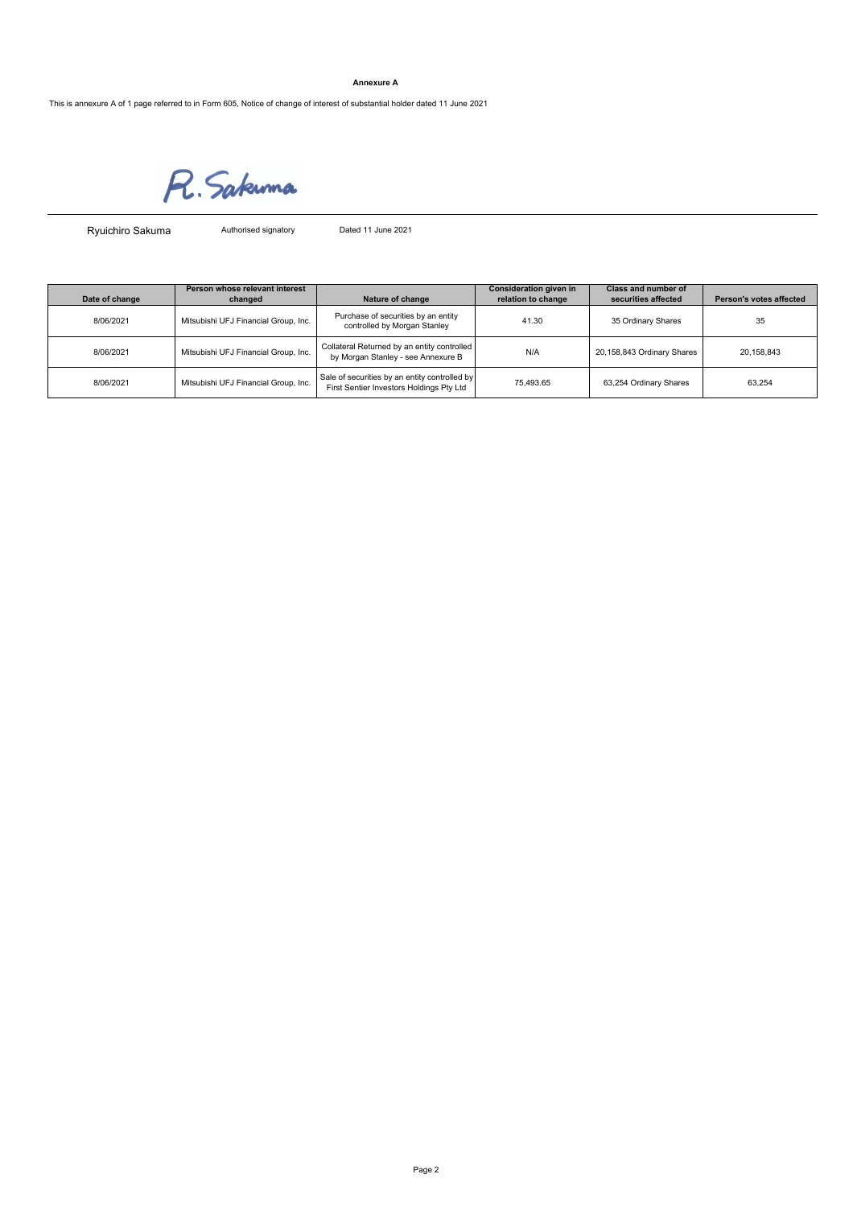### **Annexure A**

This is annexure A of 1 page referred to in Form 605, Notice of change of interest of substantial holder dated 11 June 2021

R. Sakuma

Ryuichiro Sakuma

Authorised signatory Dated 11 June 2021

| Date of change | Person whose relevant interest<br>changed | Nature of change                                                                          | Consideration given in<br>relation to change | Class and number of<br>securities affected | Person's votes affected |
|----------------|-------------------------------------------|-------------------------------------------------------------------------------------------|----------------------------------------------|--------------------------------------------|-------------------------|
| 8/06/2021      | Mitsubishi UFJ Financial Group, Inc.      | Purchase of securities by an entity<br>controlled by Morgan Stanley                       | 41.30                                        | 35 Ordinary Shares                         | 35                      |
| 8/06/2021      | Mitsubishi UFJ Financial Group, Inc.      | Collateral Returned by an entity controlled<br>by Morgan Stanley - see Annexure B         | N/A                                          | 20,158,843 Ordinary Shares                 | 20,158,843              |
| 8/06/2021      | Mitsubishi UFJ Financial Group, Inc.      | Sale of securities by an entity controlled by<br>First Sentier Investors Holdings Pty Ltd | 75.493.65                                    | 63,254 Ordinary Shares                     | 63.254                  |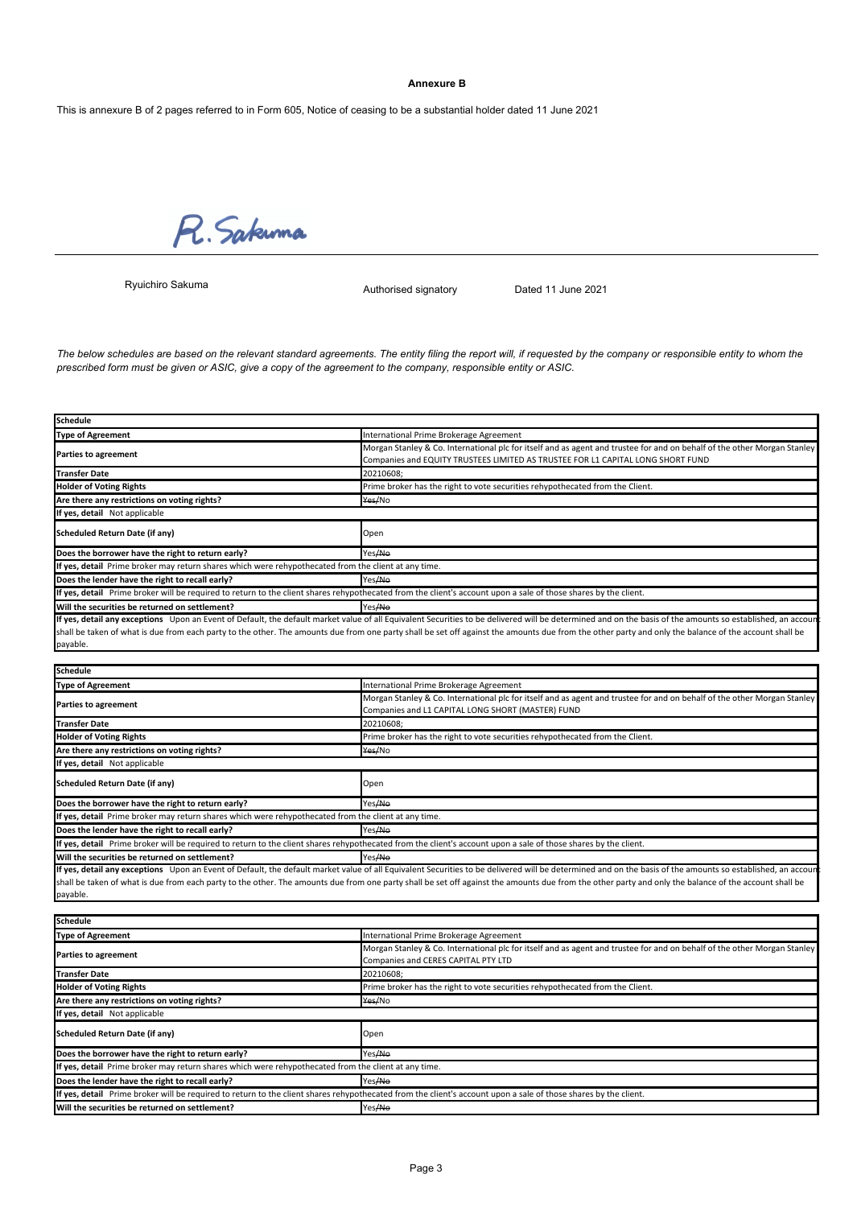### **Annexure B**

This is annexure B of 2 pages referred to in Form 605, Notice of ceasing to be a substantial holder dated 11 June 2021

R. Sakuma

Ryuichiro Sakuma

**Schedule**

Authorised signatory Dated 11 June 2021

The below schedules are based on the relevant standard agreements. The entity filing the report will, if requested by the company or responsible entity to whom the *prescribed form must be given or ASIC, give a copy of the agreement to the company, responsible entity or ASIC.*

| <b>Type of Agreement</b>                                                                                                                                                                                   | International Prime Brokerage Agreement                                                                                                                                                                    |  |  |
|------------------------------------------------------------------------------------------------------------------------------------------------------------------------------------------------------------|------------------------------------------------------------------------------------------------------------------------------------------------------------------------------------------------------------|--|--|
| <b>Parties to agreement</b>                                                                                                                                                                                | Morgan Stanley & Co. International plc for itself and as agent and trustee for and on behalf of the other Morgan Stanley                                                                                   |  |  |
|                                                                                                                                                                                                            | Companies and EQUITY TRUSTEES LIMITED AS TRUSTEE FOR L1 CAPITAL LONG SHORT FUND                                                                                                                            |  |  |
| <b>Transfer Date</b>                                                                                                                                                                                       | 20210608;                                                                                                                                                                                                  |  |  |
| <b>Holder of Voting Rights</b>                                                                                                                                                                             | Prime broker has the right to vote securities rehypothecated from the Client.                                                                                                                              |  |  |
| Are there any restrictions on voting rights?                                                                                                                                                               | Yes/No                                                                                                                                                                                                     |  |  |
| If yes, detail Not applicable                                                                                                                                                                              |                                                                                                                                                                                                            |  |  |
| <b>Scheduled Return Date (if any)</b>                                                                                                                                                                      | Open                                                                                                                                                                                                       |  |  |
| Does the borrower have the right to return early?                                                                                                                                                          | Yes/No                                                                                                                                                                                                     |  |  |
| If yes, detail Prime broker may return shares which were rehypothecated from the client at any time.                                                                                                       |                                                                                                                                                                                                            |  |  |
| Does the lender have the right to recall early?                                                                                                                                                            | Yes/No                                                                                                                                                                                                     |  |  |
| If yes, detail Prime broker will be required to return to the client shares rehypothecated from the client's account upon a sale of those shares by the client.                                            |                                                                                                                                                                                                            |  |  |
| Will the securities be returned on settlement?                                                                                                                                                             | Yes/No                                                                                                                                                                                                     |  |  |
|                                                                                                                                                                                                            | If yes, detail any exceptions Upon an Event of Default, the default market value of all Equivalent Securities to be delivered will be determined and on the basis of the amounts so established, an accour |  |  |
|                                                                                                                                                                                                            | shall be taken of what is due from each party to the other. The amounts due from one party shall be set off against the amounts due from the other party and only the balance of the account shall be      |  |  |
| payable.                                                                                                                                                                                                   |                                                                                                                                                                                                            |  |  |
|                                                                                                                                                                                                            |                                                                                                                                                                                                            |  |  |
| <b>Schedule</b>                                                                                                                                                                                            |                                                                                                                                                                                                            |  |  |
| <b>Type of Agreement</b>                                                                                                                                                                                   | International Prime Brokerage Agreement                                                                                                                                                                    |  |  |
| Parties to agreement                                                                                                                                                                                       | Morgan Stanley & Co. International plc for itself and as agent and trustee for and on behalf of the other Morgan Stanley<br>Companies and L1 CAPITAL LONG SHORT (MASTER) FUND                              |  |  |
| <b>Transfer Date</b>                                                                                                                                                                                       | 20210608:                                                                                                                                                                                                  |  |  |
| <b>Holder of Voting Rights</b>                                                                                                                                                                             | Prime broker has the right to vote securities rehypothecated from the Client.                                                                                                                              |  |  |
| Are there any restrictions on voting rights?                                                                                                                                                               | Yes/No                                                                                                                                                                                                     |  |  |
| If yes, detail Not applicable                                                                                                                                                                              |                                                                                                                                                                                                            |  |  |
|                                                                                                                                                                                                            |                                                                                                                                                                                                            |  |  |
| <b>Scheduled Return Date (if any)</b>                                                                                                                                                                      | Open                                                                                                                                                                                                       |  |  |
| Does the borrower have the right to return early?                                                                                                                                                          | Yes <del>/No</del>                                                                                                                                                                                         |  |  |
| If yes, detail Prime broker may return shares which were rehypothecated from the client at any time.                                                                                                       |                                                                                                                                                                                                            |  |  |
| Does the lender have the right to recall early?                                                                                                                                                            | Yes/No                                                                                                                                                                                                     |  |  |
| If yes, detail Prime broker will be required to return to the client shares rehypothecated from the client's account upon a sale of those shares by the client.                                            |                                                                                                                                                                                                            |  |  |
| Will the securities be returned on settlement?                                                                                                                                                             | Yes <del>/No</del>                                                                                                                                                                                         |  |  |
| If yes, detail any exceptions Upon an Event of Default, the default market value of all Equivalent Securities to be delivered will be determined and on the basis of the amounts so established, an accour |                                                                                                                                                                                                            |  |  |
|                                                                                                                                                                                                            | shall be taken of what is due from each party to the other. The amounts due from one party shall be set off against the amounts due from the other party and only the balance of the account shall be      |  |  |
| payable.                                                                                                                                                                                                   |                                                                                                                                                                                                            |  |  |
|                                                                                                                                                                                                            |                                                                                                                                                                                                            |  |  |
| <b>Schedule</b>                                                                                                                                                                                            |                                                                                                                                                                                                            |  |  |
| <b>Type of Agreement</b>                                                                                                                                                                                   | International Prime Brokerage Agreement                                                                                                                                                                    |  |  |
| <b>Parties to agreement</b>                                                                                                                                                                                | Morgan Stanley & Co. International plc for itself and as agent and trustee for and on behalf of the other Morgan Stanley<br>Companies and CERES CAPITAL PTY LTD                                            |  |  |
| <b>Transfer Date</b>                                                                                                                                                                                       | 20210608:                                                                                                                                                                                                  |  |  |
| <b>Holder of Voting Rights</b>                                                                                                                                                                             | Prime broker has the right to vote securities rehypothecated from the Client.                                                                                                                              |  |  |
| Are there any restrictions on voting rights?                                                                                                                                                               | Yes/No                                                                                                                                                                                                     |  |  |
| If yes, detail Not applicable                                                                                                                                                                              |                                                                                                                                                                                                            |  |  |
|                                                                                                                                                                                                            |                                                                                                                                                                                                            |  |  |
| <b>Scheduled Return Date (if any)</b>                                                                                                                                                                      | Open                                                                                                                                                                                                       |  |  |
| Does the borrower have the right to return early?                                                                                                                                                          | Yes <del>/No</del>                                                                                                                                                                                         |  |  |
| If yes, detail Prime broker may return shares which were rehypothecated from the client at any time.                                                                                                       |                                                                                                                                                                                                            |  |  |
| Does the lender have the right to recall early?                                                                                                                                                            | Yes/No                                                                                                                                                                                                     |  |  |
| If yes, detail Prime broker will be required to return to the client shares rehypothecated from the client's account upon a sale of those shares by the client.                                            |                                                                                                                                                                                                            |  |  |
| Will the securities be returned on settlement?                                                                                                                                                             | Yes <del>/No</del>                                                                                                                                                                                         |  |  |
|                                                                                                                                                                                                            |                                                                                                                                                                                                            |  |  |